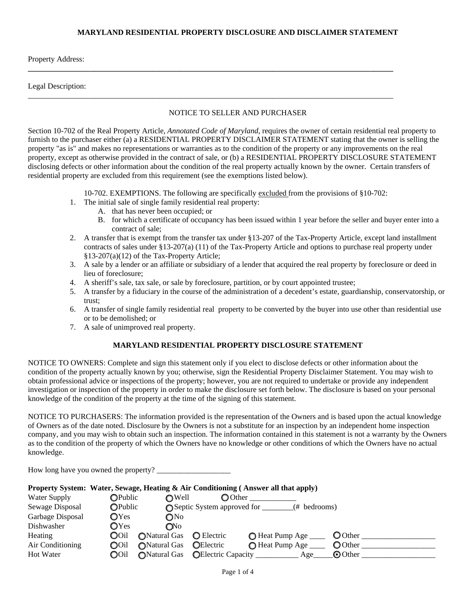### **MARYLAND RESIDENTIAL PROPERTY DISCLOSURE AND DISCLAIMER STATEMENT**

**\_\_\_\_\_\_\_\_\_\_\_\_\_\_\_\_\_\_\_\_\_\_\_\_\_\_\_\_\_\_\_\_\_\_\_\_\_\_\_\_\_\_\_\_\_\_\_\_\_\_\_\_\_\_\_\_\_\_\_\_\_\_\_\_\_\_\_\_\_\_\_\_\_\_\_\_\_\_\_\_\_\_\_\_\_\_\_\_\_\_\_\_\_\_** 

 $\overline{a}$  , and the contribution of the contribution of the contribution of the contribution of the contribution of the contribution of the contribution of the contribution of the contribution of the contribution of the co

Property Address:

Legal Description:

#### NOTICE TO SELLER AND PURCHASER

Section 10-702 of the Real Property Article, *Annotated Code of Maryland*, requires the owner of certain residential real property to furnish to the purchaser either (a) a RESIDENTIAL PROPERTY DISCLAIMER STATEMENT stating that the owner is selling the property "as is" and makes no representations or warranties as to the condition of the property or any improvements on the real property, except as otherwise provided in the contract of sale, or (b) a RESIDENTIAL PROPERTY DISCLOSURE STATEMENT disclosing defects or other information about the condition of the real property actually known by the owner. Certain transfers of residential property are excluded from this requirement (see the exemptions listed below).

10-702. EXEMPTIONS. The following are specifically excluded from the provisions of §10-702:

- 1. The initial sale of single family residential real property:
	- A. that has never been occupied; or
	- B. for which a certificate of occupancy has been issued within 1 year before the seller and buyer enter into a contract of sale;
- 2. A transfer that is exempt from the transfer tax under §13-207 of the Tax-Property Article, except land installment contracts of sales under §13-207(a) (11) of the Tax-Property Article and options to purchase real property under §13-207(a)(12) of the Tax-Property Article;
- 3. A sale by a lender or an affiliate or subsidiary of a lender that acquired the real property by foreclosure or deed in lieu of foreclosure;
- 4. A sheriff's sale, tax sale, or sale by foreclosure, partition, or by court appointed trustee;
- 5. A transfer by a fiduciary in the course of the administration of a decedent's estate, guardianship, conservatorship, or trust;
- 6. A transfer of single family residential real property to be converted by the buyer into use other than residential use or to be demolished; or
- 7. A sale of unimproved real property.

How long have you owned the property? \_\_\_\_\_\_\_\_\_\_\_\_\_\_\_\_\_\_\_

#### **MARYLAND RESIDENTIAL PROPERTY DISCLOSURE STATEMENT**

NOTICE TO OWNERS: Complete and sign this statement only if you elect to disclose defects or other information about the condition of the property actually known by you; otherwise, sign the Residential Property Disclaimer Statement. You may wish to obtain professional advice or inspections of the property; however, you are not required to undertake or provide any independent investigation or inspection of the property in order to make the disclosure set forth below. The disclosure is based on your personal knowledge of the condition of the property at the time of the signing of this statement.

NOTICE TO PURCHASERS: The information provided is the representation of the Owners and is based upon the actual knowledge of Owners as of the date noted. Disclosure by the Owners is not a substitute for an inspection by an independent home inspection company, and you may wish to obtain such an inspection. The information contained in this statement is not a warranty by the Owners as to the condition of the property of which the Owners have no knowledge or other conditions of which the Owners have no actual knowledge.

|                     |                          |                         |                     | Property System: Water, Sewage, Heating & Air Conditioning (Answer all that apply) |                |  |
|---------------------|--------------------------|-------------------------|---------------------|------------------------------------------------------------------------------------|----------------|--|
| <b>Water Supply</b> | <b>O</b> Public          | $\bigcirc$ Well         | <b>O</b> Other      |                                                                                    |                |  |
| Sewage Disposal     | <b>O</b> Public          |                         |                     | (# bedrooms)                                                                       |                |  |
| Garbage Disposal    | $\mathbb{O}$ Yes         | $\mathbb{O}^{N_{0}}$    |                     |                                                                                    |                |  |
| Dishwasher          | OYes                     | $\mathbb{C}^{\aleph_0}$ |                     |                                                                                    |                |  |
| Heating             | $\mathop{\mathrm{Ooli}}$ | ◯Natural Gas            | $\bigcirc$ Electric | Heat Pump Age                                                                      | O Other        |  |
| Air Conditioning    | $\bigcirc$ oil           | ◯Natural Gas            | <b>OElectric</b>    | Heat Pump Age                                                                      | <b>O</b> Other |  |
| <b>Hot Water</b>    | $\mathop{\mathrm{Ooli}}$ |                         |                     | ONatural Gas CE lectric Capacity Age                                               | <b>O</b> Other |  |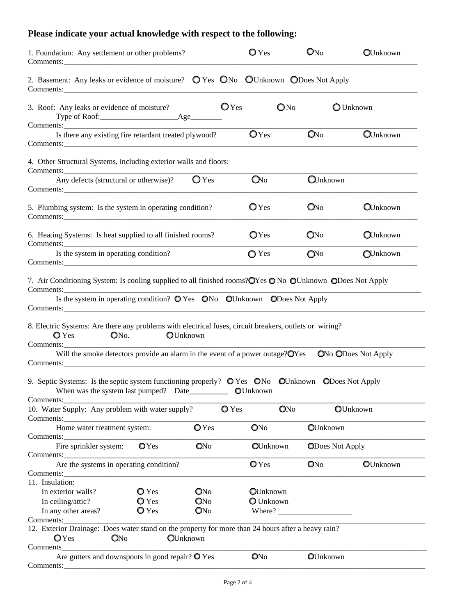# **Please indicate your actual knowledge with respect to the following:**

| 1. Foundation: Any settlement or other problems?                                                                                                                                                                                                |                                                      |                                                       |                  | $\mathbf{O}$ Yes                                     |                 | $\mathbb{O}_{No}$          |                        | <b>OUnknown</b>            |
|-------------------------------------------------------------------------------------------------------------------------------------------------------------------------------------------------------------------------------------------------|------------------------------------------------------|-------------------------------------------------------|------------------|------------------------------------------------------|-----------------|----------------------------|------------------------|----------------------------|
| 2. Basement: Any leaks or evidence of moisture? O Yes ONo OUnknown ODoes Not Apply                                                                                                                                                              |                                                      |                                                       |                  |                                                      |                 |                            |                        |                            |
| 3. Roof: Any leaks or evidence of moisture?                                                                                                                                                                                                     |                                                      |                                                       | $\mathbb{O}$ Yes |                                                      | $\mathbf{O}$ No |                            | <b>O</b> Unknown       |                            |
| Is there any existing fire retardant treated plywood?                                                                                                                                                                                           |                                                      |                                                       |                  | OYes                                                 |                 | $Q_{\text{No}}$            |                        | <b>OUnknown</b>            |
| 4. Other Structural Systems, including exterior walls and floors:<br>Comments:                                                                                                                                                                  |                                                      |                                                       |                  |                                                      |                 |                            |                        |                            |
| Any defects (structural or otherwise)?                                                                                                                                                                                                          |                                                      | $Q$ Yes                                               |                  | $\mathbb{O}^{\mathrm{No}}$                           |                 | <b>Q</b> Jnknown           |                        |                            |
| 5. Plumbing system: Is the system in operating condition?                                                                                                                                                                                       |                                                      |                                                       |                  | $\mathbb{O}$ Yes                                     |                 | <b>ONo</b>                 |                        | <b>OUnknown</b>            |
| 6. Heating Systems: Is heat supplied to all finished rooms?                                                                                                                                                                                     |                                                      |                                                       |                  | $\mathbb{O}Y$ es                                     |                 | QN <sub>0</sub>            |                        | <b>CUnknown</b>            |
| Is the system in operating condition?                                                                                                                                                                                                           |                                                      |                                                       |                  | $\bigcirc$ Yes                                       |                 | $\mathbb{O}^{\mathrm{No}}$ |                        | <b>OUnknown</b>            |
| 8. Electric Systems: Are there any problems with electrical fuses, circuit breakers, outlets or wiring?<br>ON <sub>o</sub> .<br>$\mathbb{O}$ Yes<br>Comments:<br>Will the smoke detectors provide an alarm in the event of a power outage? OYes |                                                      | <b>OUnknown</b>                                       |                  |                                                      |                 |                            |                        | <b>ONo ODoes Not Apply</b> |
| 9. Septic Systems: Is the septic system functioning properly? O Yes ONo OUnknown ODoes Not Apply<br>When was the system last pumped? Date_________<br>Comments:                                                                                 |                                                      |                                                       |                  | <b>OUnknown</b>                                      |                 |                            |                        |                            |
| 10. Water Supply: Any problem with water supply?<br>Comments:                                                                                                                                                                                   |                                                      |                                                       | <b>O</b> Yes     |                                                      | ONo             |                            | <b>OUnknown</b>        |                            |
| Home water treatment system:<br>Comments:                                                                                                                                                                                                       |                                                      | OYes                                                  |                  | ONo                                                  |                 | <b>OUnknown</b>            |                        |                            |
| Fire sprinkler system:<br>Comments:                                                                                                                                                                                                             | OYes                                                 | ONo                                                   |                  | <b>OUnknown</b>                                      |                 |                            | <b>ODoes Not Apply</b> |                            |
| Are the systems in operating condition?<br>Comments:                                                                                                                                                                                            |                                                      |                                                       |                  | OYes                                                 |                 | ONo                        |                        | <b>OUnknown</b>            |
| 11. Insulation:<br>In exterior walls?<br>In ceiling/attic?<br>In any other areas?<br>Comments:                                                                                                                                                  | $\mathbf{O}$ Yes<br>$\bigcirc$ Yes<br>$\bigcirc$ Yes | ON <sub>0</sub><br>ON <sub>0</sub><br>ON <sub>0</sub> |                  | <b>OUnknown</b><br><b>O</b> Unknown<br>Where? $\_\_$ |                 |                            |                        |                            |
| 12. Exterior Drainage: Does water stand on the property for more than 24 hours after a heavy rain?<br>OYes<br>ON <sub>0</sub>                                                                                                                   |                                                      | <b>OUnknown</b>                                       |                  |                                                      |                 |                            |                        |                            |
| Comments<br>Are gutters and downspouts in good repair? $\bullet$ Yes<br>Comments:                                                                                                                                                               |                                                      |                                                       |                  | ON <sub>0</sub>                                      |                 | <b>OUnknown</b>            |                        |                            |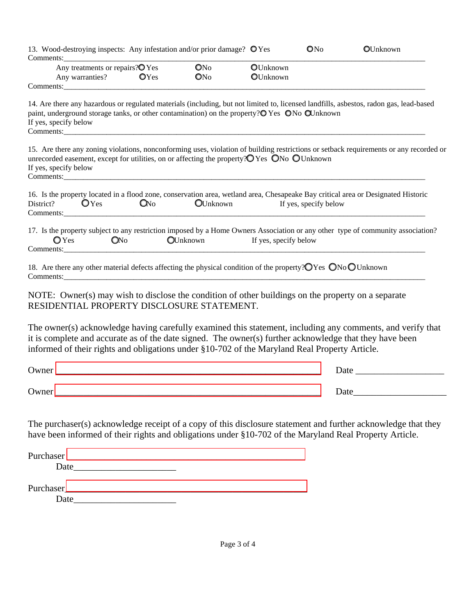| 13. Wood-destroying inspects: Any infestation and/or prior damage? O Yes                                                                                                                                                                                                                                               |                            |                        |                                    | ON <sub>0</sub>       | <b>OUnknown</b>                                                                                                                                                                                                               |
|------------------------------------------------------------------------------------------------------------------------------------------------------------------------------------------------------------------------------------------------------------------------------------------------------------------------|----------------------------|------------------------|------------------------------------|-----------------------|-------------------------------------------------------------------------------------------------------------------------------------------------------------------------------------------------------------------------------|
| Any treatments or repairs? <sup>O</sup> Yes<br>Any warranties? OYes                                                                                                                                                                                                                                                    |                            | ONo<br>$\mathbf{O}$ No | <b>OUnknown</b><br><b>OUnknown</b> |                       |                                                                                                                                                                                                                               |
|                                                                                                                                                                                                                                                                                                                        |                            |                        |                                    |                       |                                                                                                                                                                                                                               |
| 14. Are there any hazardous or regulated materials (including, but not limited to, licensed landfills, asbestos, radon gas, lead-based<br>paint, underground storage tanks, or other contamination) on the property? OYes ONo OUnknown<br>If yes, specify below                                                        |                            |                        |                                    |                       |                                                                                                                                                                                                                               |
| 15. Are there any zoning violations, nonconforming uses, violation of building restrictions or setback requirements or any recorded or<br>unrecorded easement, except for utilities, on or affecting the property? $\bigcirc$ Yes $\bigcirc$ No $\bigcirc$ Unknown<br>If yes, specify below                            |                            |                        |                                    |                       |                                                                                                                                                                                                                               |
| 16. Is the property located in a flood zone, conservation area, wetland area, Chesapeake Bay critical area or Designated Historic<br>O <sub>Yes</sub><br>District?                                                                                                                                                     | $\mathbb{O}_{\mathrm{No}}$ | <b>O</b> Unknown       |                                    | If yes, specify below |                                                                                                                                                                                                                               |
| 17. Is the property subject to any restriction imposed by a Home Owners Association or any other type of community association?<br>$\bigcirc$ Yes<br>$\mathbb{O}N^{\rm o}$                                                                                                                                             |                            | <b>OUnknown</b>        | If yes, specify below              |                       |                                                                                                                                                                                                                               |
| 18. Are there any other material defects affecting the physical condition of the property? OYes ONoOUnknown                                                                                                                                                                                                            |                            |                        |                                    |                       |                                                                                                                                                                                                                               |
| NOTE: Owner(s) may wish to disclose the condition of other buildings on the property on a separate<br>RESIDENTIAL PROPERTY DISCLOSURE STATEMENT.                                                                                                                                                                       |                            |                        |                                    |                       |                                                                                                                                                                                                                               |
| The owner(s) acknowledge having carefully examined this statement, including any comments, and verify that<br>it is complete and accurate as of the date signed. The owner(s) further acknowledge that they have been<br>informed of their rights and obligations under §10-702 of the Maryland Real Property Article. |                            |                        |                                    |                       |                                                                                                                                                                                                                               |
|                                                                                                                                                                                                                                                                                                                        |                            |                        |                                    |                       | Date and the same state of the state of the state of the state of the state of the state of the state of the state of the state of the state of the state of the state of the state of the state of the state of the state of |
|                                                                                                                                                                                                                                                                                                                        |                            |                        |                                    |                       | Date                                                                                                                                                                                                                          |
| The purchaser(s) acknowledge receipt of a copy of this disclosure statement and further acknowledge that they<br>have been informed of their rights and obligations under §10-702 of the Maryland Real Property Article.                                                                                               |                            |                        |                                    |                       |                                                                                                                                                                                                                               |
|                                                                                                                                                                                                                                                                                                                        |                            |                        |                                    |                       |                                                                                                                                                                                                                               |
|                                                                                                                                                                                                                                                                                                                        |                            |                        |                                    |                       |                                                                                                                                                                                                                               |
| $Date$ and $Date$ and $Date$ and $Date$ and $Date$ and $Date$ and $Date$ and $Date$ and $Date$ and $Date$ and $Date$ and $Date$ and $Date$ and $Date$ and $Date$ and $Date$ and $Date$ and $Date$ and $Date$ and $Date$ and $Date$ and $Date$ and $Date$ and $Date$ and $Date$ and $Date$ and $Date$ and $Date$ a      |                            |                        |                                    |                       |                                                                                                                                                                                                                               |